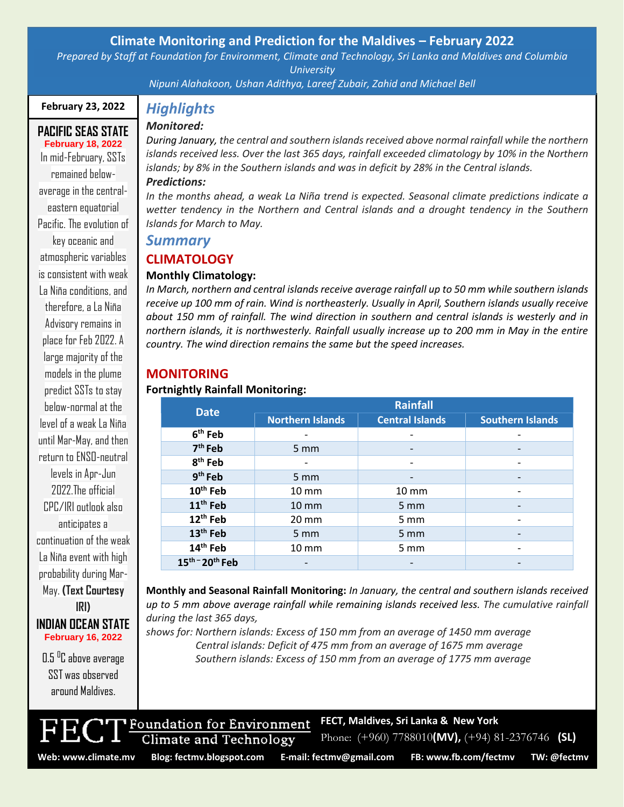## **Climate Monitoring and Prediction for the Maldives – February 2022**

*Prepared by Staff at Foundation for Environment, Climate and Technology, Sri Lanka and Maldives and Columbia University*

*Nipuni Alahakoon, Ushan Adithya, Lareef Zubair, Zahid and Michael Bell*

## **February 23, 2022**

## **PACIFIC SEAS STATE February 18, 2022**

In mid-February, SSTs remained belowaverage in the centraleastern equatorial Pacific. The evolution of key oceanic and atmospheric variables is consistent with weak La Niña conditions, and therefore, a La Niña Advisory remains in place for Feb 2022. A large majority of the models in the plume predict SSTs to stay helow-normal at the level of a weak La Niña until Mar-May, and then return to ENSO-neutral levels in Apr-Jun 2022 The official CPC/IRI outlook also anticipates a continuation of the weak La Niña event with high probability during Mar-May. **(Text Courtesy** 

## **IRI) INDIAN OCEAN STATE February 16, 2022**

0.5 <sup>o</sup>C above average SST was observed around Maldives.

# *Highlights*

## *Monitored:*

*During January, the central and southern islands received above normal rainfall while the northern islands received less. Over the last 365 days, rainfall exceeded climatology by 10% in the Northern islands; by 8% in the Southern islands and was in deficit by 28% in the Central islands. Predictions:* 

*In the months ahead, a weak La Niña trend is expected. Seasonal climate predictions indicate a wetter tendency in the Northern and Central islands and a drought tendency in the Southern Islands for March to May.*

## *Summary*

# **CLIMATOLOGY**

## **Monthly Climatology:**

*In March, northern and central islands receive average rainfall up to 50 mm while southern islands receive up 100 mm of rain. Wind is northeasterly. Usually in April, Southern islands usually receive about 150 mm of rainfall. The wind direction in southern and central islands is westerly and in northern islands, it is northwesterly. Rainfall usually increase up to 200 mm in May in the entire country. The wind direction remains the same but the speed increases.*

## **MONITORING**

### **Fortnightly Rainfall Monitoring:**

| <b>Date</b>          | <b>Rainfall</b>         |                        |                         |
|----------------------|-------------------------|------------------------|-------------------------|
|                      | <b>Northern Islands</b> | <b>Central Islands</b> | <b>Southern Islands</b> |
| 6 <sup>th</sup> Feb  |                         |                        |                         |
| 7 <sup>th</sup> Feb  | $5 \, \text{mm}$        |                        |                         |
| 8 <sup>th</sup> Feb  |                         |                        |                         |
| $9th$ Feb            | 5 mm                    |                        |                         |
| 10 <sup>th</sup> Feb | $10 \, \text{mm}$       | $10 \, \text{mm}$      |                         |
| 11 <sup>th</sup> Feb | $10 \, \text{mm}$       | 5 mm                   |                         |
| 12 <sup>th</sup> Feb | $20 \, \text{mm}$       | 5 mm                   |                         |
| 13 <sup>th</sup> Feb | 5 mm                    | 5 mm                   |                         |
| 14 <sup>th</sup> Feb | 10 mm                   | $5 \text{ mm}$         |                         |
| $15th - 20th$ Feb    |                         |                        |                         |

**Monthly and Seasonal Rainfall Monitoring:** *In January, the central and southern islands received up to 5 mm above average rainfall while remaining islands received less. The cumulative rainfall during the last 365 days,*

**FECT, Maldives, Sri Lanka & New York**

Phone: (+960) 7788010**(MV),** (+94) 81-2376746 **(SL)**

*shows for: Northern islands: Excess of 150 mm from an average of 1450 mm average Central islands: Deficit of 475 mm from an average of 1675 mm average Southern islands: Excess of 150 mm from an average of 1775 mm average*



Foundation for Environment

Climate and Technology

Page